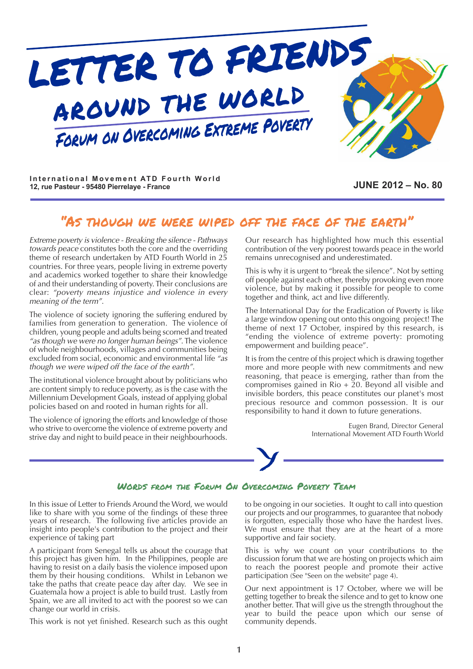

International Movement ATD Fourth World **12, rue Pasteur - 95480 Pierrelaye - France JUNE 2012 – No. 80**

### "as though we were wiped off the face of the earth"

*Extreme poverty is violence - Breaking the silence - Pathways towards peace* constitutes both the core and the overriding theme of research undertaken by ATD Fourth World in 25 countries. For three years, people living in extreme poverty and academics worked together to share their knowledge of and their understanding of poverty. Their conclusions are clear: *"poverty means injustice and violence in every meaning of the term"*.

The violence of society ignoring the suffering endured by families from generation to generation. The violence of children, young people and adults being scorned and treated *"as though we were no longer human beings"*. The violence of whole neighbourhoods, villages and communities being excluded from social, economic and environmental life *"as though we were wiped off the face of the earth"*.

The institutional violence brought about by politicians who are content simply to reduce poverty, as is the case with the Millennium Development Goals, instead of applying global policies based on and rooted in human rights for all.

The violence of ignoring the efforts and knowledge of those who strive to overcome the violence of extreme poverty and strive day and night to build peace in their neighbourhoods. Our research has highlighted how much this essential contribution of the very poorest towards peace in the world remains unrecognised and underestimated.

This is why it is urgent to "break the silence". Not by setting off people against each other, thereby provoking even more violence, but by making it possible for people to come together and think, act and live differently.

The International Day for the Eradication of Poverty is like a large window opening out onto this ongoing project! The theme of next 17 October, inspired by this research, is "ending the violence of extreme poverty: promoting empowerment and building peace".

It is from the centre of this project which is drawing together more and more people with new commitments and new reasoning, that peace is emerging, rather than from the compromises gained in Rio + 20. Beyond all visible and invisible borders, this peace constitutes our planet's most precious resource and common possession. It is our responsibility to hand it down to future generations.

> Eugen Brand, Director General International Movement ATD Fourth World

#### WORDS FROM THE FORUM ON OVERCOMING POVERTY TEAM

In this issue of Letter to Friends Around the Word, we would like to share with you some of the findings of these three years of research. The following five articles provide an insight into people's contribution to the project and their experience of taking part

A participant from Senegal tells us about the courage that this project has given him. In the Philippines, people are having to resist on a daily basis the violence imposed upon them by their housing conditions. Whilst in Lebanon we take the paths that create peace day after day. We see in Guatemala how a project is able to build trust. Lastly from Spain, we are all invited to act with the poorest so we can change our world in crisis.

This work is not yet finished. Research such as this ought

to be ongoing in our societies. It ought to call into question our projects and our programmes, to guarantee that nobody is forgotten, especially those who have the hardest lives. We must ensure that they are at the heart of a more supportive and fair society.

This is why we count on your contributions to the discussion forum that we are hosting on projects which aim to reach the poorest people and promote their active participation (See "Seen on the website" page 4).

Our next appointment is 17 October, where we will be getting together to break the silence and to get to know one another better. That will give us the strength throughout the year to build the peace upon which our sense of community depends.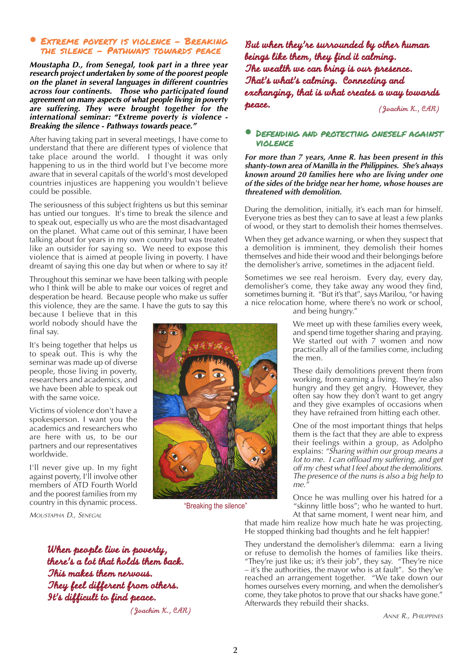#### **EXTREME POVERTY IS VIOLENCE - BREAKING** the silence - Pathways towards peace

*Moustapha D., from Senegal, took part in a three year research project undertaken by some of the poorest people on the planet in several languages in different countries across four continents. Those who participated found agreement on many aspects of what people living in poverty are suffering. They were brought together for the international seminar: "Extreme poverty is violence - Breaking the silence - Pathways towards peace."*

After having taking part in several meetings, I have come to understand that there are different types of violence that take place around the world. I thought it was only happening to us in the third world but I've become more aware that in several capitals of the world's most developed countries injustices are happening you wouldn't believe could be possible.

The seriousness of this subject frightens us but this seminar has untied our tongues. It's time to break the silence and to speak out, especially us who are the most disadvantaged on the planet. What came out of this seminar, I have been talking about for years in my own country but was treated like an outsider for saying so. We need to expose this violence that is aimed at people living in poverty. I have dreamt of saying this one day but when or where to say it?

Throughout this seminar we have been talking with people who I think will be able to make our voices of regret and desperation be heard. Because people who make us suffer this violence, they are the same. I have the guts to say this

because I believe that in this world nobody should have the final say.

It's being together that helps us to speak out. This is why the seminar was made up of diverse people, those living in poverty, researchers and academics, and we have been able to speak out with the same voice.

Victims of violence don't have a spokesperson. I want you the academics and researchers who are here with us, to be our partners and our representatives worldwide.

I'll never give up. In my fight against poverty, I'll involve other members of ATD Fourth World and the poorest families from my country in this dynamic process.

*MOUSTAPHA D., SENEGAL*

*The wealth we can bring is our presence. That's what's calming. Connecting and exchanging, that is what creates a way towards peace. (Joachim K., CAR)*

*beings like them, they find it calming.*

*But when they're surrounded by other human*

#### **•** Defending and protecting oneself against violence

*For more than 7 years, Anne R. has been present in this shanty-town area of Manilla in the Philippines. She's always known around 20 families here who are living under one of the sides of the bridge near her home, whose houses are threatened with demolition.*

During the demolition, initially, it's each man for himself. Everyone tries as best they can to save at least a few planks of wood, or they start to demolish their homes themselves.

When they get advance warning, or when they suspect that a demolition is imminent, they demolish their homes themselves and hide their wood and their belongings before the demolisher's arrive, sometimes in the adjacent field.

Sometimes we see real heroism. Every day, every day, demolisher's come, they take away any wood they find, sometimes burning it. "But it's that", says Marilou, "or having a nice relocation home, where there's no work or school, and being hungry."

> We meet up with these families every week, and spend time together sharing and praying. We started out with 7 women and now practically all of the families come, including the men.

These daily demolitions prevent them from working, from earning a living. They're also hungry and they get angry. However, they often say how they don't want to get angry and they give examples of occasions when they have refrained from hitting each other.

One of the most important things that helps them is the fact that they are able to express their feelings within a group, as Adolpho explains: *"Sharing within our group means a lot to me. I can offload my suffering, and get off my chest what I feel about the demolitions. The presence of the nuns is also a big help to me."*

Once he was mulling over his hatred for a "skinny little boss"; who he wanted to hurt. At that same moment, I went near him, and

that made him realize how much hate he was projecting. He stopped thinking bad thoughts and he felt happier!

They understand the demolisher's dilemma: earn a living or refuse to demolish the homes of families like theirs. "They're just like us; it's their job", they say. "They're nice  $-$  it's the authorities, the mayor who is at fault". So they've reached an arrangement together. "We take down our homes ourselves every morning, and when the demolisher's come, they take photos to prove that our shacks have gone." Afterwards they rebuild their shacks.

*ANNE R., PHILIPPINES*

"Breaking the silence"

*When people live in poverty, there's a lot that holds them back. This makes them nervous. They feel different from others. It's difficult to find peace.*

*(Joachim K., CAR)*

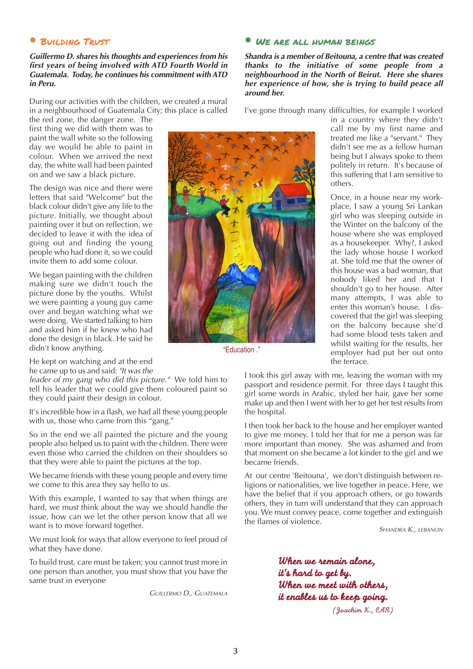#### **•** Building trust

#### *Guillermo D. shares his thoughts and experiences from his first years of being involved with ATD Fourth World in Guatemala. Today, he continues his commitment withATD in Peru.*

During our activities with the children, we created a mural in a neighbourhood of Guatemala City; this place is called the red zone, the danger zone. The

first thing we did with them was to paint the wall white so the following day we would be able to paint in colour. When we arrived the next day, the white wall had been painted on and we saw a black picture.

The design was nice and there were letters that said "Welcome" but the black colour didn't give any life to the picture. Initially, we thought about painting over it but on reflection, we decided to leave it with the idea of going out and finding the young people who had done it, so we could invite them to add some colour.

We began painting with the children making sure we didn't touch the picture done by the youths. Whilst we were painting a young guy came over and began watching what we were doing. We started talking to him and asked him if he knew who had done the design in black. He said he didn't know anything.

He kept on watching and at the end he came up to us and said: *"It was the*

*leader of my gang who did this picture."* We told him to tell his leader that we could give them coloured paint so they could paint their design in colour.

It's incredible how in a flash, we had all these young people with us, those who came from this "gang."

So in the end we all painted the picture and the young people also helped us to paint with the children. There were even those who carried the children on their shoulders so that they were able to paint the pictures at the top.

We became friends with these young people and every time we come to this area they say hello to us.

With this example, I wanted to say that when things are hard, we must think about the way we should handle the issue, how can we let the other person know that all we want is to move forward together.

We must look for ways that allow everyone to feel proud of what they have done.

To build trust, care must be taken; you cannot trust more in one person than another, you must show that you have the same trust in everyone

*GUILLERMO D., GUATEMALA*

#### **•** We are all human beings

*Shandra is a member of Beitouna, a centre that was created thanks to the initiative of some people from a neighbourhood in the North of Beirut. Here she shares her experience of how, she is trying to build peace all around her.*

I've gone through many difficulties, for example I worked

in a country where they didn't call me by my first name and treated me like a "servant." They didn't see me as a fellow human being but I always spoke to them politely in return. It's because of this suffering that I am sensitive to others.

Once, in a house near my workplace, I saw a young Sri Lankan girl who was sleeping outside in the Winter on the balcony of the house where she was employed as a housekeeper. Why?, I asked the lady whose house I worked at. She told me that the owner of this house was a bad woman, that nobody liked her and that I shouldn't go to her house. After many attempts, I was able to enter this woman's house. I discovered that the girl was sleeping on the balcony because she'd had some blood tests taken and whilst waiting for the results, her employer had put her out onto the terrace.

I took this girl away with me, leaving the woman with my passport and residence permit. For three days I taught this girl some words in Arabic, styled her hair, gave her some make up and then I went with her to get her test results from the hospital.

I then took her back to the house and her employer wanted to give me money. I told her that for me a person was far more important than money. She was ashamed and from that moment on she became a lot kinder to the girl and we became friends.

At our centre 'Beitouna', we don't distinguish between religions or nationalities, we live together in peace. Here, we have the belief that if you approach others, or go towards others, they in turn will understand that they can approach you. We must convey peace, come together and extinguish the flames of violence.

*SHANDRA K., LEBANON*

*When we remain alone, it's hard to get by. When we meet with others, it enables us to keep going. (Joachim K., CAR)*



"Education ."